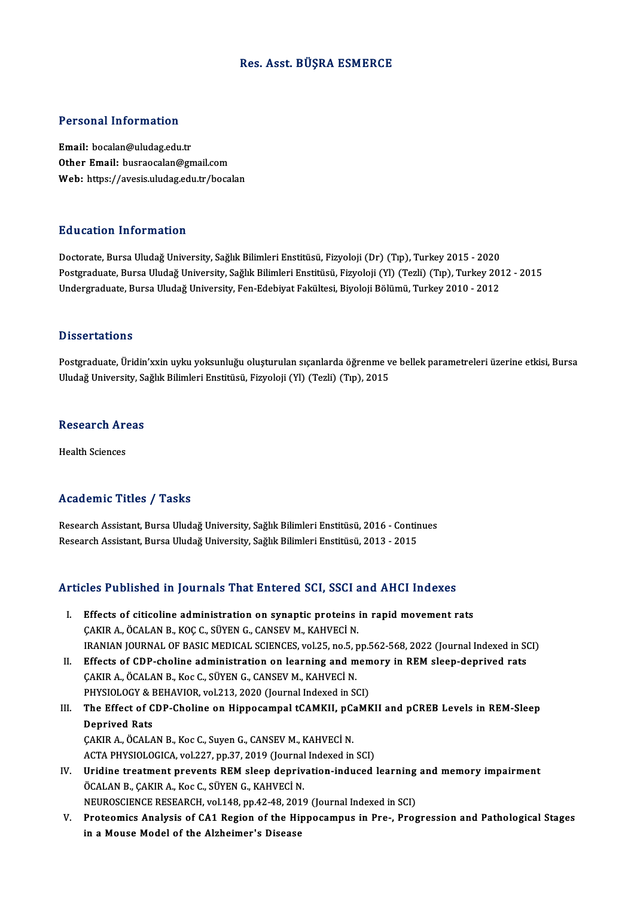## Res. Asst. BÜŞRA ESMERCE

## Personal Information

Email: bocalan@uludag.edu.tr Other Email: busraocalan@gmail.com Web: https://avesis.uludag.edu.tr/bocalan

#### Education Information

Doctorate, Bursa Uludağ University, Sağlık Bilimleri Enstitüsü, Fizyoloji (Dr) (Tıp), Turkey 2015 - 2020 Pu u sutrom minominusion<br>Doctorate, Bursa Uludağ University, Sağlık Bilimleri Enstitüsü, Fizyoloji (Dr) (Tıp), Turkey 2015 - 2020<br>Postgraduate, Bursa Uludağ University, Sağlık Bilimleri Enstitüsü, Fizyoloji (Yl) (Tezli) (T Doctorate, Bursa Uludağ University, Sağlık Bilimleri Enstitüsü, Fizyoloji (Dr) (Tıp), Turkey 2015 - 2020<br>Postgraduate, Bursa Uludağ University, Sağlık Bilimleri Enstitüsü, Fizyoloji (Yl) (Tezli) (Tıp), Turkey 20:<br>Undergrad Undergraduate, Bursa Uludağ University, Fen-Edebiyat Fakültesi, Biyoloji Bölümü, Turkey 2010 - 2012<br>Dissertations

Postgraduate, Üridin'xxin uyku yoksunluğu oluşturulan sıçanlarda öğrenme ve bellek parametreleri üzerine etkisi, Bursa Uludağ University, Sağlık Bilimleri Enstitüsü, Fizyoloji (Yl) (Tezli) (Tıp), 2015

## oludag oniversity, Sa<br>Research Areas R<mark>esearch Ar</mark><br>Health Sciences

# Academic Titles / Tasks

Research Assistant, Bursa Uludağ University, Sağlık Bilimleri Enstitüsü, 2016 - Continues Research Assistant, Bursa Uludağ University, Sağlık Bilimleri Enstitüsü, 2013 - 2015

## Articles Published in Journals That Entered SCI, SSCI and AHCI Indexes

- rticles Published in Journals That Entered SCI, SSCI and AHCI Indexes<br>I. Effects of citicoline administration on synaptic proteins in rapid movement rats<br>CAKIRA ACALAN BLKOCC SÜVEN C CANSEV MLKAHVECI N Effects of citicoline administration on synaptic proteins is<br>CAKIR A., ÖCALAN B., KOÇ C., SÜYEN G., CANSEV M., KAHVECİ N.<br>IPANIAN JOUPNAL OF PASIC MEDICAL SCIENCES vol 25 no 5 n Effects of citicoline administration on synaptic proteins in rapid movement rats<br>CAKIR A., ÖCALAN B., KOÇ C., SÜYEN G., CANSEV M., KAHVECİ N.<br>IRANIAN JOURNAL OF BASIC MEDICAL SCIENCES, vol.25, no.5, pp.562-568, 2022 (Journ
- CAKIR A., ÖCALAN B., KOÇ C., SÜYEN G., CANSEV M., KAHVECİ N.<br>IRANIAN JOURNAL OF BASIC MEDICAL SCIENCES, vol.25, no.5, pp.562-568, 2022 (Journal Indexed in St.<br>II. Effects of CDP-choline administration on learning and memor IRANIAN JOURNAL OF BASIC MEDICAL SCIENCES, vol.25, no.5, p<br>Effects of CDP-choline administration on learning and m<br>CAKIR A., ÖCALAN B., Koc C., SÜYEN G., CANSEV M., KAHVECİN.<br>PHYSIQLOCY & PEHAVIOP vol.212, 2020 (Journal In Effects of CDP-choline administration on learning and mem<br>CAKIR A., ÖCALAN B., Koc C., SÜYEN G., CANSEV M., KAHVECİ N.<br>PHYSIOLOGY & BEHAVIOR, vol.213, 2020 (Journal Indexed in SCI)<br>The Effect of CDB Choline on Hinnessmnal
- III. The Effect of CDP-Choline on Hippocampal tCAMKII, pCaMKII and pCREB Levels in REM-Sleep<br>Deprived Rats PHYSIOLOGY & P<br>The Effect of C<br>Deprived Rats<br>CAKIP A ÖCALA The Effect of CDP-Choline on Hippocampal tCAMKII, pC.<br>Deprived Rats<br>ÇAKIR A., ÖCALAN B., Koc C., Suyen G., CANSEV M., KAHVECİ N.<br>ACTA PHYSIQI QCICA .val 227. pp.27. 2019 (Jaurnal Indoved in Deprived Rats<br>ÇAKIR A., ÖCALAN B., Koc C., Suyen G., CANSEV M., KAHVECİ N.<br>ACTA PHYSIOLOGICA, vol.227, pp.37, 2019 (Journal Indexed in SCI)<br>Uridine treatment prevents REM sleep deprivation indused i

- CAKIR A., ÖCALAN B., Koc C., Suyen G., CANSEV M., KAHVECİ N.<br>ACTA PHYSIOLOGICA, vol.227, pp.37, 2019 (Journal Indexed in SCI)<br>IV. Uridine treatment prevents REM sleep deprivation-induced learning and memory impairment<br>ÖCAL ACTA PHYSIOLOGICA, vol.227, pp.37, 2019 (Journal Indexed in SCI)<br>Uridine treatment prevents REM sleep deprivation-induced learning<br>ÖCALAN B., ÇAKIR A., Koc C., SÜYEN G., KAHVECİ N.<br>NEUROSCIENCE RESEARCH, vol.148, pp.42-48, Uridine treatment prevents REM sleep deprivation-induced learning<br>ÖCALAN B., ÇAKIR A., Koc C., SÜYEN G., KAHVECİ N.<br>NEUROSCIENCE RESEARCH, vol.148, pp.42-48, 2019 (Journal Indexed in SCI)<br>Proteomiss Analysis of CA1 Bosian
- V. Proteomics Analysis of CA1 Region of the Hippocampus in Pre-, Progression and Pathological Stages in a Mouse Model of the Alzheimer's Disease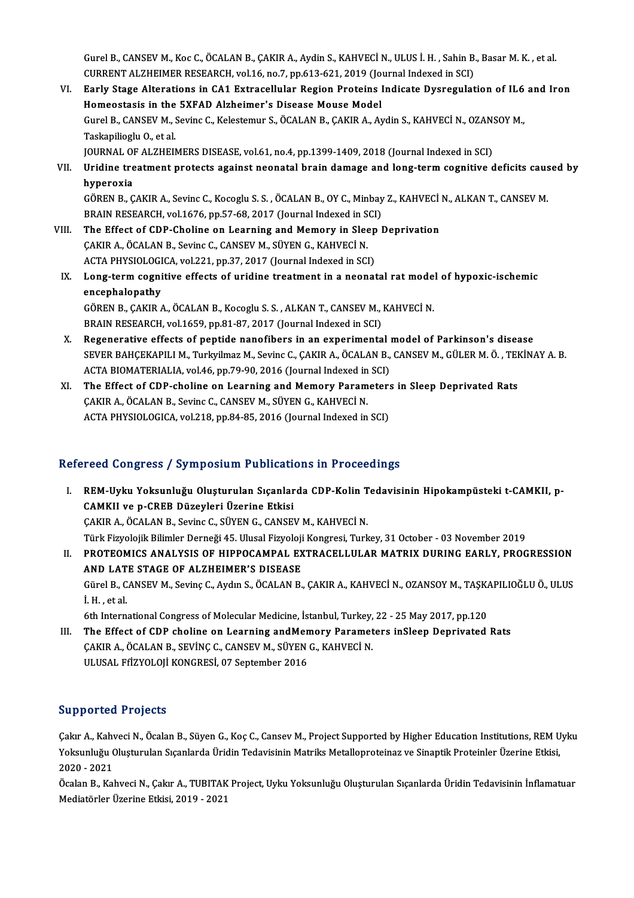Gurel B., CANSEV M., Koc C., ÖCALAN B., ÇAKIR A., Aydin S., KAHVECİ N., ULUS İ. H. , Sahin B., Basar M. K. , et al.<br>CURRENT ALZHEIMER RESEARCH vol 16 no 7 np 612,621,2010 (Journal Indoved in SCI). CURRENT ALZHEIMER RESEARCH, vol.16, no.7, pp.613-621, 2019 (Journal Indexed in SCI)<br>V. Early Stage Alterations in CA1 Extracellular Region Proteins Indicate Dysregulation of IL6 and Iron Gurel B., CANSEV M., Koc C., ÖCALAN B., ÇAKIR A., Aydin S., KAHVECİ N., ULUS İ. H. , Sahin B., Basar M. K. , et al.<br>CURRENT ALZHEIMER RESEARCH, vol.16, no.7, pp.613-621, 2019 (Journal Indexed in SCI)<br>VI. Barly Stage Altera

- CURRENT ALZHEIMER RESEARCH, vol.16, no.7, pp.613-621, 2019 (Jonewick Curry Stage Alterations in CA1 Extracellular Region Proteins 1<br>Homeostasis in the 5XFAD Alzheimer's Disease Mouse Model<br>Curol B. CANSEV M. Soving C. Kels Early Stage Alterations in CA1 Extracellular Region Proteins Indicate Dysregulation of IL6<br>Homeostasis in the 5XFAD Alzheimer's Disease Mouse Model<br>Gurel B., CANSEV M., Sevinc C., Kelestemur S., ÖCALAN B., ÇAKIR A., Aydin Homeostasis in the<br>Gurel B., CANSEV M., S<br>Taskapilioglu O., et al.<br>JOUPNAL OF ALZHEIN Gurel B., CANSEV M., Sevinc C., Kelestemur S., ÖCALAN B., ÇAKIR A., Aydin S., KAHVECİ N., OZAN:<br>Taskapilioglu O., et al.<br>JOURNAL OF ALZHEIMERS DISEASE, vol.61, no.4, pp.1399-1409, 2018 (Journal Indexed in SCI)<br>Uridine trea JOURNAL OF ALZHEIMERS DISEASE, vol.61, no.4, pp.1399-1409, 2018 (Journal Indexed in SCI)
- Taskapilioglu O., et al.<br>JOURNAL OF ALZHEIMERS DISEASE, vol.61, no.4, pp.1399-1409, 2018 (Journal Indexed in SCI)<br>VII. Uridine treatment protects against neonatal brain damage and long-term cognitive deficits caused by Uridine treatment protects against neonatal brain damage and long-term cognitive deficits caus<br>hyperoxia<br>GÖREN B., ÇAKIR A., Sevinc C., Kocoglu S. S. , ÖCALAN B., OY C., Minbay Z., KAHVECİ N., ALKAN T., CANSEV M.<br>PRAIN RES

hyperoxia<br>GÖREN B., ÇAKIR A., Sevinc C., Kocoglu S. S. , ÖCALAN B., OY C., Minbay<br>BRAIN RESEARCH, vol.1676, pp.57-68, 2017 (Journal Indexed in SCI)<br>The Effect of CDB Choline on Loerning and Momory in Sleep l GÖREN B., ÇAKIR A., Sevinc C., Kocoglu S. S., ÖCALAN B., OY C., Minbay Z., KAHVECİ<br>BRAIN RESEARCH, vol.1676, pp.57-68, 2017 (Journal Indexed in SCI)<br>VIII. The Effect of CDP-Choline on Learning and Memory in Sleep Deprivati

- BRAIN RESEARCH, vol.1676, pp.57-68, 2017 (Journal Indexed in S<br>The Effect of CDP-Choline on Learning and Memory in Slee<br>CAKIR A., ÖCALAN B., Sevinc C., CANSEV M., SÜYEN G., KAHVECİN.<br>ACTA PHYSIQLOCICA vol.221 np.27, 2017 ( The Effect of CDP-Choline on Learning and Memory in Sleep<br>CAKIR A., ÖCALAN B., Sevinc C., CANSEV M., SÜYEN G., KAHVECİ N.<br>ACTA PHYSIOLOGICA, vol.221, pp.37, 2017 (Journal Indexed in SCI)<br>Lang tarım sognitive effects of uni CAKIR A., ÖCALAN B., Sevinc C., CANSEV M., SÜYEN G., KAHVECİ N.<br>ACTA PHYSIOLOGICA, vol.221, pp.37, 2017 (Journal Indexed in SCI)<br>IX. Long-term cognitive effects of uridine treatment in a neonatal rat model of hypoxic-i
- **ACTA PHYSIOLOGI<br>Long-term cogni<br>encephalopathy**<br>CÖPEN P. CAKIP / Long-term cognitive effects of uridine treatment in a neonatal rat mode<br>encephalopathy<br>GÖREN B., ÇAKIR A., ÖCALAN B., Kocoglu S. S. , ALKAN T., CANSEV M., KAHVECİ N.<br>PRAIN RESEARCH .vol.1650 .pp.91.97.2017 (Journal Indoved encephalopathy<br>GÖREN B., ÇAKIR A., ÖCALAN B., Kocoglu S. S. , ALKAN T., CANSEV M., KAHVECİ N.<br>BRAIN RESEARCH, vol.1659, pp.81-87, 2017 (Journal Indexed in SCI)

- GÖREN B., ÇAKIR A., ÖCALAN B., Kocoglu S. S., ALKAN T., CANSEV M., KAHVECİ N.<br>BRAIN RESEARCH, vol.1659, pp.81-87, 2017 (Journal Indexed in SCI)<br>X. Regenerative effects of peptide nanofibers in an experimental model of Park BRAIN RESEARCH, vol.1659, pp.81-87, 2017 (Journal Indexed in SCI)<br>Regenerative effects of peptide nanofibers in an experimental model of Parkinson's disease<br>SEVER BAHÇEKAPILI M., Turkyilmaz M., Sevinc C., ÇAKIR A., ÖCALAN Regenerative effects of peptide nanofibers in an experimental<br>SEVER BAHÇEKAPILI M., Turkyilmaz M., Sevinc C., ÇAKIR A., ÖCALAN B.,<br>ACTA BIOMATERIALIA, vol.46, pp.79-90, 2016 (Journal Indexed in SCI)<br>The Effect of CDB shali SEVER BAHÇEKAPILI M., Turkyilmaz M., Sevinc C., ÇAKIR A., ÖCALAN B., CANSEV M., GÜLER M. Ö., TEH<br>ACTA BIOMATERIALIA, vol.46, pp.79-90, 2016 (Journal Indexed in SCI)<br>XI. The Effect of CDP-choline on Learning and Memory Para
- ACTA BIOMATERIALIA, vol.46, pp.79-90, 2016 (Journal Indexed in<br>The Effect of CDP-choline on Learning and Memory Param<br>ÇAKIR A., ÖCALAN B., Sevinc C., CANSEV M., SÜYEN G., KAHVECİN.<br>ACTA PHYSIQI QCICA vol.319, pp.84.85, 201 The Effect of CDP-choline on Learning and Memory Parameters<br>ÇAKIR A., ÖCALAN B., Sevinc C., CANSEV M., SÜYEN G., KAHVECİ N.<br>ACTA PHYSIOLOGICA, vol.218, pp.84-85, 2016 (Journal Indexed in SCI)

# ACTA PHYSIOLOGICA, vol.218, pp.84-85, 2016 (Journal Indexed in SCI)<br>Refereed Congress / Symposium Publications in Proceedings

efereed Congress / Symposium Publications in Proceedings<br>I. REM-Uyku Yoksunluğu Oluşturulan Sıçanlarda CDP-Kolin Tedavisinin Hipokampüsteki t-CAMKII, p-<br>CAMKU ve n CBEB Dürevleri Ürerine Etkisi CAMKII ve p-CREB Düzeyleri Üzerine Etkisi REM-Uyku Yoksunluğu Oluşturulan Sıçanlarda CDP-Kolin T<br>CAMKII ve p-CREB Düzeyleri Üzerine Etkisi<br>ÇAKIR A., ÖCALAN B., Sevinc C., SÜYEN G., CANSEV M., KAHVECİ N.<br>Türk Eirveleijk Bilimler Derneği 45 Ulusal Eirveleji Kengresi CAMKII ve p-CREB Düzeyleri Üzerine Etkisi<br>ÇAKIR A., ÖCALAN B., Sevinc C., SÜYEN G., CANSEV M., KAHVECİ N.<br>Türk Fizyolojik Bilimler Derneği 45. Ulusal Fizyoloji Kongresi, Turkey, 31 October - 03 November 2019<br>PROTEOMICS ANA II. PROTEOMICS ANALYSIS OF HIPPOCAMPAL EXTRACELLULAR MATRIX DURING EARLY, PROGRESSION<br>AND LATE STAGE OF ALZHEIMER'S DISEASE Türk Fizyolojik Bilimler Derneği 45. Ulusal Fizyoloji<br>PROTEOMICS ANALYSIS OF HIPPOCAMPAL EX<br>AND LATE STAGE OF ALZHEIMER'S DISEASE<br>Cünel B. CANEEV M. Sevine C. Aydın S. ÖCALAN B.

PROTEOMICS ANALYSIS OF HIPPOCAMPAL EXTRACELLULAR MATRIX DURING EARLY, PROGRESSION<br>AND LATE STAGE OF ALZHEIMER'S DISEASE<br>Gürel B., CANSEV M., Sevinç C., Aydın S., ÖCALAN B., ÇAKIR A., KAHVECİ N., OZANSOY M., TAŞKAPILIOĞLU Ö AND LAT<br>Gürel B., C<br>İ. H. , et al.<br>.eth. Intern Gürel B., CANSEV M., Sevinç C., Aydın S., ÖCALAN B., ÇAKIR A., KAHVECİ N., OZANSOY M., TAŞK.<br>İ. H. , et al.<br>6th International Congress of Molecular Medicine, İstanbul, Turkey, 22 - 25 May 2017, pp.120<br>The Effect of CDB sha

I. H. , et al.<br>6th International Congress of Molecular Medicine, İstanbul, Turkey, 22 - 25 May 2017, pp.120<br>III. The Effect of CDP choline on Learning andMemory Parameters inSleep Deprivated Rats

6th International Congress of Molecular Medicine, İstanbul, Turkey,<br>The Effect of CDP choline on Learning andMemory Paramet<br>ÇAKIR A., ÖCALAN B., SEVİNÇ C., CANSEV M., SÜYEN G., KAHVECİ N.<br>ULUSAL EfİZYOLOJİ KONCPESİ 97 Sont The Effect of CDP choline on Learning andMen<br>ÇAKIR A., ÖCALAN B., SEVİNÇ C., CANSEV M., SÜYEN<br>ULUSAL FfİZYOLOJİ KONGRESİ, 07 September 2016 ULUSAL FfizYOLOJİ KONGRESİ, 07 September 2016<br>Supported Projects

Çakır A., Kahveci N., Öcalan B., Süyen G., Koç C., Cansev M., Project Supported by Higher Education Institutions, REM Uyku Yupportedi Frojeels<br>Çakır A., Kahveci N., Öcalan B., Süyen G., Koç C., Cansev M., Project Supported by Higher Education Institutions, REM U<br>Yoksunluğu Oluşturulan Sıçanlarda Üridin Tedavisinin Matriks Metalloproteinaz ve S Çakır A., Kah<mark>v</mark><br>Yoksunluğu (<br>2020 - 2021<br>Öselan B., Kal Yoksunluğu Oluşturulan Sıçanlarda Üridin Tedavisinin Matriks Metalloproteinaz ve Sinaptik Proteinler Üzerine Etkisi,<br>2020 - 2021<br>Öcalan B., Kahveci N., Çakır A., TUBITAK Project, Uyku Yoksunluğu Oluşturulan Sıçanlarda Ürid

2020 - 2021<br>Öcalan B., Kahveci N., Çakır A., TUBITAK Project, Uyku Yoksunluğu Oluşturulan Sıçanlarda Üridin Tedavisinin İnflamatuar<br>Mediatörler Üzerine Etkisi, 2019 - 2021